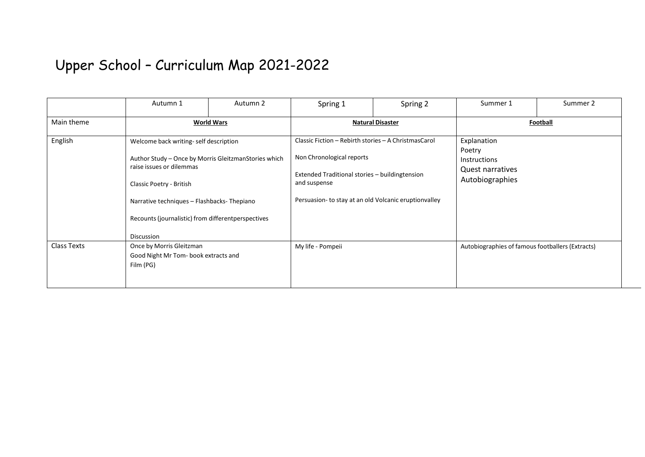## Upper School – Curriculum Map 2021-2022

|                    | Autumn 1                                                                                                                                                                                                                                                                | Autumn 2 | Spring 1                                                                                                                                                                                                     | Spring 2 | Summer 1                                                                            | Summer 2 |  |
|--------------------|-------------------------------------------------------------------------------------------------------------------------------------------------------------------------------------------------------------------------------------------------------------------------|----------|--------------------------------------------------------------------------------------------------------------------------------------------------------------------------------------------------------------|----------|-------------------------------------------------------------------------------------|----------|--|
| Main theme         | <b>World Wars</b>                                                                                                                                                                                                                                                       |          | <b>Natural Disaster</b>                                                                                                                                                                                      |          | Football                                                                            |          |  |
| English            | Welcome back writing-self description<br>Author Study - Once by Morris GleitzmanStories which<br>raise issues or dilemmas<br>Classic Poetry - British<br>Narrative techniques - Flashbacks-Thepiano<br>Recounts (journalistic) from differentperspectives<br>Discussion |          | Classic Fiction - Rebirth stories - A ChristmasCarol<br>Non Chronological reports<br>Extended Traditional stories - buildingtension<br>and suspense<br>Persuasion- to stay at an old Volcanic eruptionvalley |          | Explanation<br>Poetry<br><b>Instructions</b><br>Quest narratives<br>Autobiographies |          |  |
| <b>Class Texts</b> | Once by Morris Gleitzman<br>Good Night Mr Tom-book extracts and<br>Film (PG)                                                                                                                                                                                            |          | My life - Pompeii                                                                                                                                                                                            |          | Autobiographies of famous footballers (Extracts)                                    |          |  |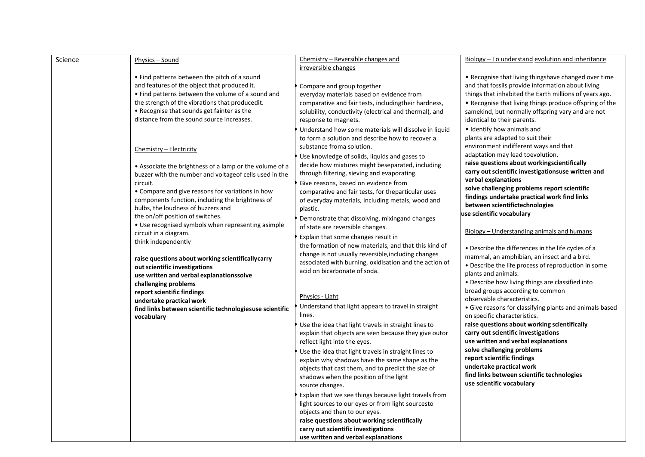| Science | Physics – Sound                                          | Chemistry – Reversible changes and                     | Biology – To understand evolution and inheritance                         |
|---------|----------------------------------------------------------|--------------------------------------------------------|---------------------------------------------------------------------------|
|         |                                                          | irreversible changes                                   |                                                                           |
|         | • Find patterns between the pitch of a sound             |                                                        | • Recognise that living thingshave changed over time                      |
|         | and features of the object that produced it.             | Compare and group together                             | and that fossils provide information about living                         |
|         | • Find patterns between the volume of a sound and        | everyday materials based on evidence from              | things that inhabited the Earth millions of years ago.                    |
|         | the strength of the vibrations that producedit.          | comparative and fair tests, includingtheir hardness,   | • Recognise that living things produce offspring of the                   |
|         | • Recognise that sounds get fainter as the               | solubility, conductivity (electrical and thermal), and | samekind, but normally offspring vary and are not                         |
|         | distance from the sound source increases.                | response to magnets.                                   | identical to their parents.                                               |
|         |                                                          | Understand how some materials will dissolve in liquid  | • Identify how animals and                                                |
|         |                                                          | to form a solution and describe how to recover a       | plants are adapted to suit their                                          |
|         | Chemistry - Electricity                                  | substance froma solution.                              | environment indifferent ways and that                                     |
|         |                                                          | Use knowledge of solids, liquids and gases to          | adaptation may lead toevolution.                                          |
|         | • Associate the brightness of a lamp or the volume of a  | decide how mixtures might beseparated, including       | raise questions about workingscientifically                               |
|         | buzzer with the number and voltageof cells used in the   | through filtering, sieving and evaporating.            | carry out scientific investigationsuse written and<br>verbal explanations |
|         | circuit.                                                 | Give reasons, based on evidence from                   | solve challenging problems report scientific                              |
|         | • Compare and give reasons for variations in how         | comparative and fair tests, for theparticular uses     | findings undertake practical work find links                              |
|         | components function, including the brightness of         | of everyday materials, including metals, wood and      | between scientifictechnologies                                            |
|         | bulbs, the loudness of buzzers and                       | plastic.                                               | use scientific vocabulary                                                 |
|         | the on/off position of switches.                         | Demonstrate that dissolving, mixingand changes         |                                                                           |
|         | • Use recognised symbols when representing asimple       | of state are reversible changes.                       | Biology - Understanding animals and humans                                |
|         | circuit in a diagram.<br>think independently             | Explain that some changes result in                    |                                                                           |
|         |                                                          | the formation of new materials, and that this kind of  | • Describe the differences in the life cycles of a                        |
|         | raise questions about working scientificallycarry        | change is not usually reversible, including changes    | mammal, an amphibian, an insect and a bird.                               |
|         | out scientific investigations                            | associated with burning, oxidisation and the action of | • Describe the life process of reproduction in some                       |
|         | use written and verbal explanationssolve                 | acid on bicarbonate of soda.                           | plants and animals.                                                       |
|         | challenging problems                                     |                                                        | • Describe how living things are classified into                          |
|         | report scientific findings                               |                                                        | broad groups according to common                                          |
|         | undertake practical work                                 | Physics - Light                                        | observable characteristics.                                               |
|         | find links between scientific technologiesuse scientific | Understand that light appears to travel in straight    | • Give reasons for classifying plants and animals based                   |
|         | vocabulary                                               | lines.                                                 | on specific characteristics.                                              |
|         |                                                          | Use the idea that light travels in straight lines to   | raise questions about working scientifically                              |
|         |                                                          | explain that objects are seen because they give outor  | carry out scientific investigations                                       |
|         |                                                          | reflect light into the eyes.                           | use written and verbal explanations                                       |
|         |                                                          | Use the idea that light travels in straight lines to   | solve challenging problems                                                |
|         |                                                          | explain why shadows have the same shape as the         | report scientific findings                                                |
|         |                                                          | objects that cast them, and to predict the size of     | undertake practical work                                                  |
|         |                                                          | shadows when the position of the light                 | find links between scientific technologies                                |
|         |                                                          | source changes.                                        | use scientific vocabulary                                                 |
|         |                                                          | Explain that we see things because light travels from  |                                                                           |
|         |                                                          | light sources to our eyes or from light sourcesto      |                                                                           |
|         |                                                          | objects and then to our eyes.                          |                                                                           |
|         |                                                          | raise questions about working scientifically           |                                                                           |
|         |                                                          | carry out scientific investigations                    |                                                                           |
|         |                                                          | use written and verbal explanations                    |                                                                           |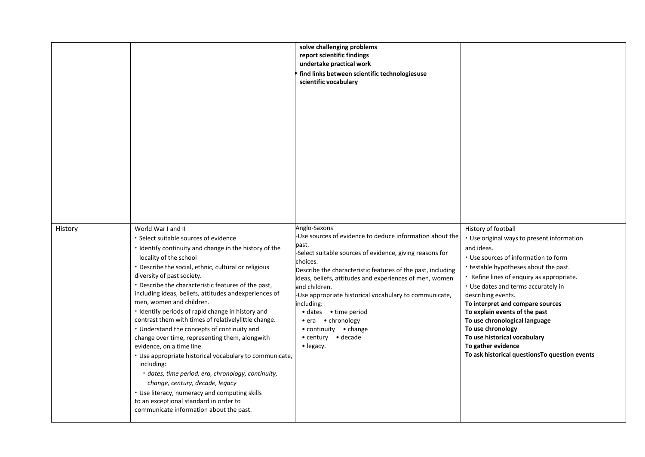|         |                                                                                                                                                                                                                                                                                                                                                                                                                                                                                                                                                                                                                                                                                                                                                                                                                                                                                                                                      | solve challenging problems<br>report scientific findings<br>undertake practical work<br>find links between scientific technologiesuse<br>scientific vocabulary                                                                                                                                                                                                                                                                                                                                         |                                                                                                                                                                                                                                                                                                                                                                                                                                                                                                                      |
|---------|--------------------------------------------------------------------------------------------------------------------------------------------------------------------------------------------------------------------------------------------------------------------------------------------------------------------------------------------------------------------------------------------------------------------------------------------------------------------------------------------------------------------------------------------------------------------------------------------------------------------------------------------------------------------------------------------------------------------------------------------------------------------------------------------------------------------------------------------------------------------------------------------------------------------------------------|--------------------------------------------------------------------------------------------------------------------------------------------------------------------------------------------------------------------------------------------------------------------------------------------------------------------------------------------------------------------------------------------------------------------------------------------------------------------------------------------------------|----------------------------------------------------------------------------------------------------------------------------------------------------------------------------------------------------------------------------------------------------------------------------------------------------------------------------------------------------------------------------------------------------------------------------------------------------------------------------------------------------------------------|
| History | World War I and II<br>· Select suitable sources of evidence<br>· Identify continuity and change in the history of the<br>locality of the school<br>• Describe the social, ethnic, cultural or religious<br>diversity of past society.<br>• Describe the characteristic features of the past,<br>including ideas, beliefs, attitudes andexperiences of<br>men, women and children.<br>· Identify periods of rapid change in history and<br>contrast them with times of relativelylittle change.<br>• Understand the concepts of continuity and<br>change over time, representing them, alongwith<br>evidence, on a time line.<br>• Use appropriate historical vocabulary to communicate,<br>including:<br>· dates, time period, era, chronology, continuity,<br>change, century, decade, legacy<br>• Use literacy, numeracy and computing skills<br>to an exceptional standard in order to<br>communicate information about the past. | Anglo-Saxons<br>-Use sources of evidence to deduce information about the<br>past.<br>-Select suitable sources of evidence, giving reasons for<br>choices.<br>Describe the characteristic features of the past, including<br>ideas, beliefs, attitudes and experiences of men, women<br>and children.<br>Use appropriate historical vocabulary to communicate,<br>including:<br>• dates • time period<br>• era • chronology<br>$\bullet$ continuity $\bullet$ change<br>• century • decade<br>• legacy. | <b>History of football</b><br>• Use original ways to present information<br>and ideas.<br>• Use sources of information to form<br>• testable hypotheses about the past.<br>• Refine lines of enquiry as appropriate.<br>• Use dates and terms accurately in<br>describing events.<br>To interpret and compare sources<br>To explain events of the past<br>To use chronological language<br>To use chronology<br>To use historical vocabulary<br>To gather evidence<br>To ask historical questions To question events |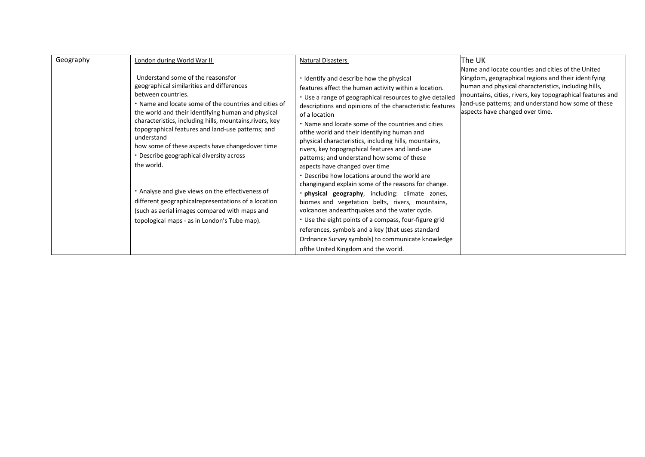| Geography | London during World War II<br>Understand some of the reasonsfor<br>geographical similarities and differences<br>between countries.<br>• Name and locate some of the countries and cities of<br>the world and their identifying human and physical<br>characteristics, including hills, mountains, rivers, key<br>topographical features and land-use patterns; and<br>understand<br>how some of these aspects have changedover time<br>• Describe geographical diversity across<br>the world.<br>• Analyse and give views on the effectiveness of<br>different geographicalrepresentations of a location<br>(such as aerial images compared with maps and<br>topological maps - as in London's Tube map). | <b>Natural Disasters</b><br>• Identify and describe how the physical<br>features affect the human activity within a location.<br>• Use a range of geographical resources to give detailed<br>descriptions and opinions of the characteristic features<br>of a location<br>. Name and locate some of the countries and cities<br>of the world and their identifying human and<br>physical characteristics, including hills, mountains,<br>rivers, key topographical features and land-use<br>patterns; and understand how some of these<br>aspects have changed over time<br>. Describe how locations around the world are<br>changing and explain some of the reasons for change.<br>· physical geography, including: climate zones,<br>biomes and vegetation belts, rivers, mountains,<br>volcanoes andearthquakes and the water cycle.<br>• Use the eight points of a compass, four-figure grid<br>references, symbols and a key (that uses standard<br>Ordnance Survey symbols) to communicate knowledge<br>ofthe United Kingdom and the world. | lThe UK<br>Name and locate counties and cities of the United<br>Kingdom, geographical regions and their identifying<br>human and physical characteristics, including hills,<br>mountains, cities, rivers, key topographical features and<br>land-use patterns; and understand how some of these<br>aspects have changed over time. |
|-----------|-----------------------------------------------------------------------------------------------------------------------------------------------------------------------------------------------------------------------------------------------------------------------------------------------------------------------------------------------------------------------------------------------------------------------------------------------------------------------------------------------------------------------------------------------------------------------------------------------------------------------------------------------------------------------------------------------------------|----------------------------------------------------------------------------------------------------------------------------------------------------------------------------------------------------------------------------------------------------------------------------------------------------------------------------------------------------------------------------------------------------------------------------------------------------------------------------------------------------------------------------------------------------------------------------------------------------------------------------------------------------------------------------------------------------------------------------------------------------------------------------------------------------------------------------------------------------------------------------------------------------------------------------------------------------------------------------------------------------------------------------------------------------|------------------------------------------------------------------------------------------------------------------------------------------------------------------------------------------------------------------------------------------------------------------------------------------------------------------------------------|
|-----------|-----------------------------------------------------------------------------------------------------------------------------------------------------------------------------------------------------------------------------------------------------------------------------------------------------------------------------------------------------------------------------------------------------------------------------------------------------------------------------------------------------------------------------------------------------------------------------------------------------------------------------------------------------------------------------------------------------------|----------------------------------------------------------------------------------------------------------------------------------------------------------------------------------------------------------------------------------------------------------------------------------------------------------------------------------------------------------------------------------------------------------------------------------------------------------------------------------------------------------------------------------------------------------------------------------------------------------------------------------------------------------------------------------------------------------------------------------------------------------------------------------------------------------------------------------------------------------------------------------------------------------------------------------------------------------------------------------------------------------------------------------------------------|------------------------------------------------------------------------------------------------------------------------------------------------------------------------------------------------------------------------------------------------------------------------------------------------------------------------------------|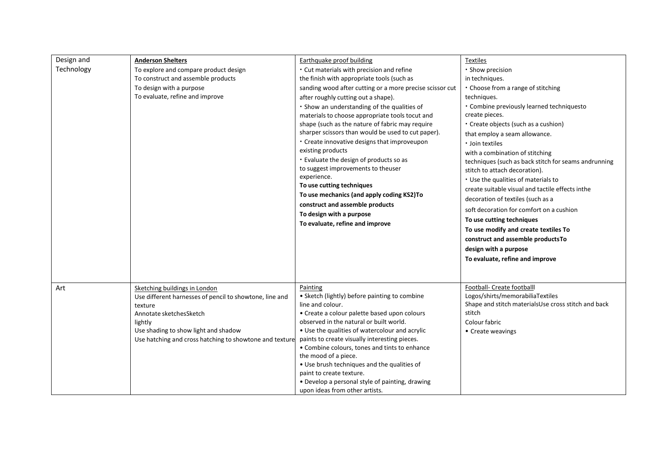| Design and<br>Technology | <b>Anderson Shelters</b><br>To explore and compare product design<br>To construct and assemble products<br>To design with a purpose<br>To evaluate, refine and improve                                                                       | Earthquake proof building<br>• Cut materials with precision and refine<br>the finish with appropriate tools (such as<br>sanding wood after cutting or a more precise scissor cut<br>after roughly cutting out a shape).<br>• Show an understanding of the qualities of<br>materials to choose appropriate tools tocut and<br>shape (such as the nature of fabric may require<br>sharper scissors than would be used to cut paper).<br>• Create innovative designs that improveupon<br>existing products<br>• Evaluate the design of products so as<br>to suggest improvements to theuser<br>experience.<br>To use cutting techniques<br>To use mechanics (and apply coding KS2)To<br>construct and assemble products<br>To design with a purpose<br>To evaluate, refine and improve | Textiles<br>· Show precision<br>in techniques.<br>• Choose from a range of stitching<br>techniques.<br>• Combine previously learned techniquesto<br>create pieces.<br>• Create objects (such as a cushion)<br>that employ a seam allowance.<br>· Join textiles<br>with a combination of stitching<br>techniques (such as back stitch for seams andrunning<br>stitch to attach decoration).<br>• Use the qualities of materials to<br>create suitable visual and tactile effects inthe<br>decoration of textiles (such as a<br>soft decoration for comfort on a cushion<br>To use cutting techniques<br>To use modify and create textiles To<br>construct and assemble productsTo<br>design with a purpose<br>To evaluate, refine and improve |
|--------------------------|----------------------------------------------------------------------------------------------------------------------------------------------------------------------------------------------------------------------------------------------|-------------------------------------------------------------------------------------------------------------------------------------------------------------------------------------------------------------------------------------------------------------------------------------------------------------------------------------------------------------------------------------------------------------------------------------------------------------------------------------------------------------------------------------------------------------------------------------------------------------------------------------------------------------------------------------------------------------------------------------------------------------------------------------|----------------------------------------------------------------------------------------------------------------------------------------------------------------------------------------------------------------------------------------------------------------------------------------------------------------------------------------------------------------------------------------------------------------------------------------------------------------------------------------------------------------------------------------------------------------------------------------------------------------------------------------------------------------------------------------------------------------------------------------------|
| Art                      | Sketching buildings in London<br>Use different harnesses of pencil to showtone, line and<br>texture<br>Annotate sketchesSketch<br>lightly<br>Use shading to show light and shadow<br>Use hatching and cross hatching to showtone and texture | Painting<br>• Sketch (lightly) before painting to combine<br>line and colour.<br>• Create a colour palette based upon colours<br>observed in the natural or built world.<br>• Use the qualities of watercolour and acrylic<br>paints to create visually interesting pieces.<br>• Combine colours, tones and tints to enhance<br>the mood of a piece.<br>• Use brush techniques and the qualities of<br>paint to create texture.<br>• Develop a personal style of painting, drawing<br>upon ideas from other artists.                                                                                                                                                                                                                                                                | Football- Create footballl<br>Logos/shirts/memorabiliaTextiles<br>Shape and stitch materialsUse cross stitch and back<br>stitch<br>Colour fabric<br>• Create weavings                                                                                                                                                                                                                                                                                                                                                                                                                                                                                                                                                                        |